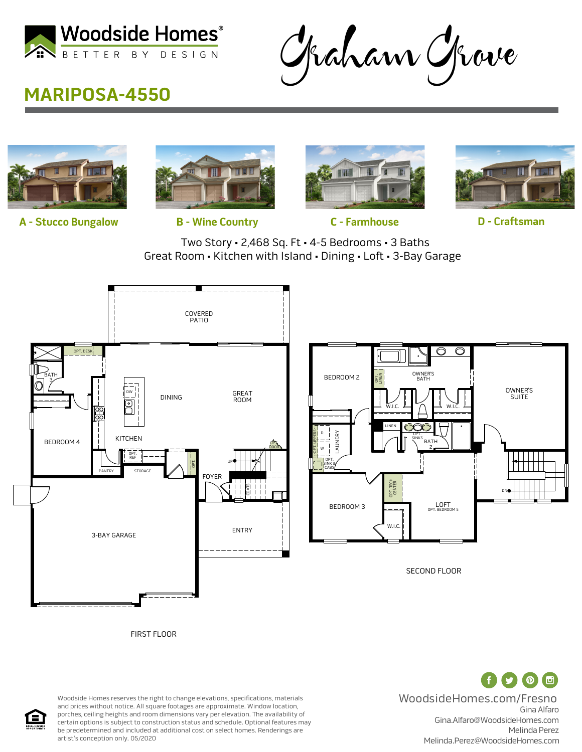

Graham Grove

## **MARIPOSA-4550**



**A - Stucco Bungalow B - Wine Country C - Farmhouse D - Craftsman**







OWNER'S SUITE

DN

Two Story • 2,468 Sq. Ft • 4-5 Bedrooms • 3 Baths Great Room • Kitchen with Island • Dining • Loft • 3-Bay Garage



Ŧ ( ட ( <del>ල</del> WoodsideHomes.com/Fresno Gina Alfaro Gina.Alfaro@WoodsideHomes.com Melinda Perez Melinda.Perez@WoodsideHomes.com

SECOND FLOOR

OPT. BE

W.I.C.

OPT. TECH OPT. TECH<br>CENTER

LINEN

OWNER'S<br>BATH

BATH 2

OPT. SINKS  $W.I.$